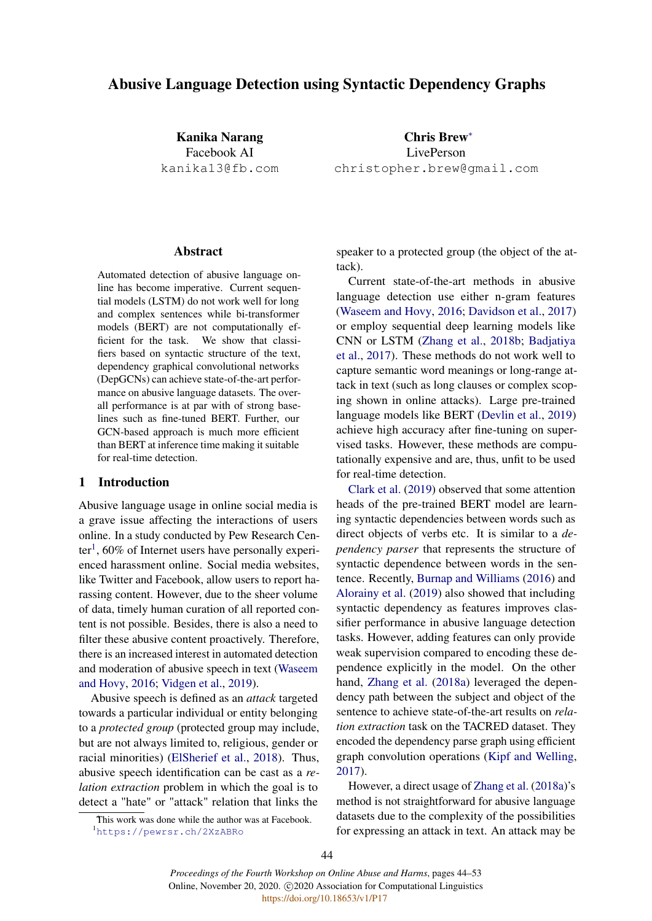# Abusive Language Detection using Syntactic Dependency Graphs

Kanika Narang Facebook AI kanika13@fb.com

Chris Brew<sup>∗</sup> LivePerson christopher.brew@gmail.com

#### Abstract

Automated detection of abusive language online has become imperative. Current sequential models (LSTM) do not work well for long and complex sentences while bi-transformer models (BERT) are not computationally efficient for the task. We show that classifiers based on syntactic structure of the text, dependency graphical convolutional networks (DepGCNs) can achieve state-of-the-art performance on abusive language datasets. The overall performance is at par with of strong baselines such as fine-tuned BERT. Further, our GCN-based approach is much more efficient than BERT at inference time making it suitable for real-time detection.

# 1 Introduction

Abusive language usage in online social media is a grave issue affecting the interactions of users online. In a study conducted by Pew Research Cen-ter<sup>[1](#page-0-0)</sup>, 60% of Internet users have personally experienced harassment online. Social media websites, like Twitter and Facebook, allow users to report harassing content. However, due to the sheer volume of data, timely human curation of all reported content is not possible. Besides, there is also a need to filter these abusive content proactively. Therefore, there is an increased interest in automated detection and moderation of abusive speech in text [\(Waseem](#page-9-0) [and Hovy,](#page-9-0) [2016;](#page-9-0) [Vidgen et al.,](#page-9-1) [2019\)](#page-9-1).

Abusive speech is defined as an *attack* targeted towards a particular individual or entity belonging to a *protected group* (protected group may include, but are not always limited to, religious, gender or racial minorities) [\(ElSherief et al.,](#page-8-0) [2018\)](#page-8-0). Thus, abusive speech identification can be cast as a *relation extraction* problem in which the goal is to detect a "hate" or "attack" relation that links the

<span id="page-0-0"></span>This work was done while the author was at Facebook. <sup>1</sup><https://pewrsr.ch/2XzABRo>

speaker to a protected group (the object of the attack).

Current state-of-the-art methods in abusive language detection use either n-gram features [\(Waseem and Hovy,](#page-9-0) [2016;](#page-9-0) [Davidson et al.,](#page-8-1) [2017\)](#page-8-1) or employ sequential deep learning models like CNN or LSTM [\(Zhang et al.,](#page-9-2) [2018b;](#page-9-2) [Badjatiya](#page-8-2) [et al.,](#page-8-2) [2017\)](#page-8-2). These methods do not work well to capture semantic word meanings or long-range attack in text (such as long clauses or complex scoping shown in online attacks). Large pre-trained language models like BERT [\(Devlin et al.,](#page-8-3) [2019\)](#page-8-3) achieve high accuracy after fine-tuning on supervised tasks. However, these methods are computationally expensive and are, thus, unfit to be used for real-time detection.

[Clark et al.](#page-8-4) [\(2019\)](#page-8-4) observed that some attention heads of the pre-trained BERT model are learning syntactic dependencies between words such as direct objects of verbs etc. It is similar to a *dependency parser* that represents the structure of syntactic dependence between words in the sentence. Recently, [Burnap and Williams](#page-8-5) [\(2016\)](#page-8-5) and [Alorainy et al.](#page-8-6) [\(2019\)](#page-8-6) also showed that including syntactic dependency as features improves classifier performance in abusive language detection tasks. However, adding features can only provide weak supervision compared to encoding these dependence explicitly in the model. On the other hand, [Zhang et al.](#page-9-3) [\(2018a\)](#page-9-3) leveraged the dependency path between the subject and object of the sentence to achieve state-of-the-art results on *relation extraction* task on the TACRED dataset. They encoded the dependency parse graph using efficient graph convolution operations [\(Kipf and Welling,](#page-8-7) [2017\)](#page-8-7).

However, a direct usage of [Zhang et al.](#page-9-3) [\(2018a\)](#page-9-3)'s method is not straightforward for abusive language datasets due to the complexity of the possibilities for expressing an attack in text. An attack may be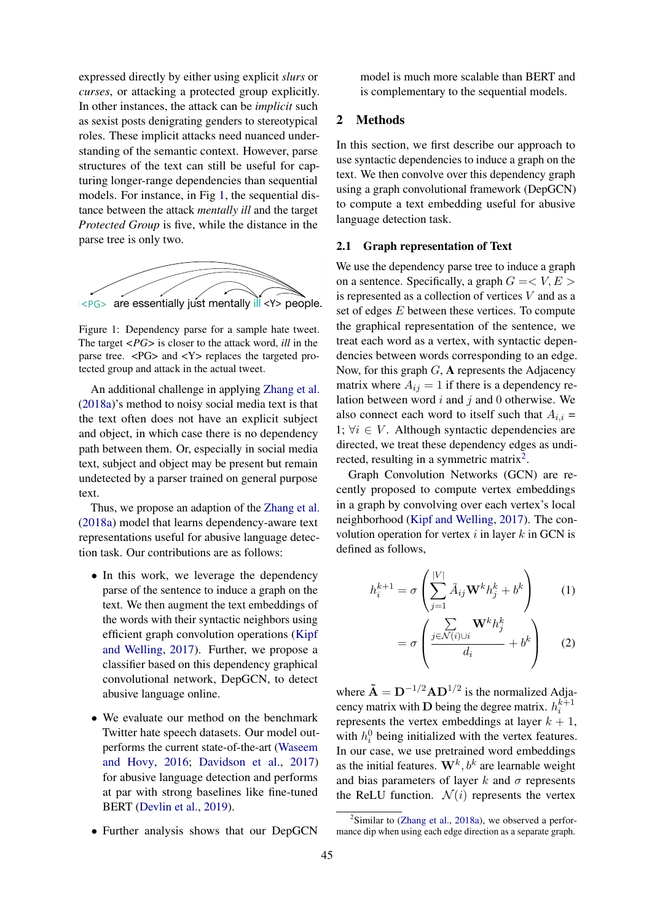expressed directly by either using explicit *slurs* or *curses*, or attacking a protected group explicitly. In other instances, the attack can be *implicit* such as sexist posts denigrating genders to stereotypical roles. These implicit attacks need nuanced understanding of the semantic context. However, parse structures of the text can still be useful for capturing longer-range dependencies than sequential models. For instance, in Fig [1,](#page-1-0) the sequential distance between the attack *mentally ill* and the target *Protected Group* is five, while the distance in the parse tree is only two.

<span id="page-1-0"></span>

Figure 1: Dependency parse for a sample hate tweet. The target *<PG>* is closer to the attack word, *ill* in the parse tree.  $\langle PG \rangle$  and  $\langle Y \rangle$  replaces the targeted protected group and attack in the actual tweet.

and object, in which case there is no dependency An additional challenge in applying [Zhang et al.](#page-9-3) matrix wr [\(2018a\)](#page-9-3)'s method to noisy social media text is that the text often does not have an explicit subject path between them. Or, especially in social media text, subject and object may be present but remain undetected by a parser trained on general purpose text.

> Thus, we propose an adaption of the [Zhang et al.](#page-9-3) [\(2018a\)](#page-9-3) model that learns dependency-aware text representations useful for abusive language detection task. Our contributions are as follows:

- In this work, we leverage the dependency parse of the sentence to induce a graph on the text. We then augment the text embeddings of the words with their syntactic neighbors using efficient graph convolution operations [\(Kipf](#page-8-7) [and Welling,](#page-8-7) [2017\)](#page-8-7). Further, we propose a classifier based on this dependency graphical convolutional network, DepGCN, to detect abusive language online.
- We evaluate our method on the benchmark Twitter hate speech datasets. Our model outperforms the current state-of-the-art [\(Waseem](#page-9-0) [and Hovy,](#page-9-0) [2016;](#page-9-0) [Davidson et al.,](#page-8-1) [2017\)](#page-8-1) for abusive language detection and performs at par with strong baselines like fine-tuned BERT [\(Devlin et al.,](#page-8-3) [2019\)](#page-8-3).
- Further analysis shows that our DepGCN

model is much more scalable than BERT and is complementary to the sequential models.

# 2 Methods

In this section, we first describe our approach to use syntactic dependencies to induce a graph on the text. We then convolve over this dependency graph using a graph convolutional framework (DepGCN) to compute a text embedding useful for abusive language detection task.

# 2.1 Graph representation of Text

We use the dependency parse tree to induce a graph on a sentence. Specifically, a graph  $G = \langle V, E \rangle$ is represented as a collection of vertices  $V$  and as a set of edges E between these vertices. To compute the graphical representation of the sentence, we treat each word as a vertex, with syntactic dependencies between words corresponding to an edge. Now, for this graph  $G$ , **A** represents the Adjacency matrix where  $A_{ij} = 1$  if there is a dependency relation between word  $i$  and  $j$  and  $0$  otherwise. We also connect each word to itself such that  $A_{i,i}$  = 1;  $\forall i \in V$ . Although syntactic dependencies are directed, we treat these dependency edges as undi-rected, resulting in a symmetric matrix<sup>[2](#page-1-1)</sup>.

Graph Convolution Networks (GCN) are recently proposed to compute vertex embeddings in a graph by convolving over each vertex's local neighborhood [\(Kipf and Welling,](#page-8-7) [2017\)](#page-8-7). The convolution operation for vertex  $i$  in layer  $k$  in GCN is defined as follows,

$$
h_i^{k+1} = \sigma \left( \sum_{j=1}^{|V|} \tilde{A}_{ij} \mathbf{W}^k h_j^k + b^k \right) \tag{1}
$$

$$
= \sigma \left( \frac{\sum\limits_{j \in \mathcal{N}(i) \cup i} \mathbf{W}^k h_j^k}{d_i} + b^k \right) \qquad (2)
$$

where  $\tilde{\mathbf{A}} = \mathbf{D}^{-1/2} \mathbf{A} \mathbf{D}^{1/2}$  is the normalized Adjacency matrix with **D** being the degree matrix.  $h_i^{k+1}$ represents the vertex embeddings at layer  $k + 1$ , with  $h_i^0$  being initialized with the vertex features. In our case, we use pretrained word embeddings as the initial features.  $W^k$ ,  $b^k$  are learnable weight and bias parameters of layer k and  $\sigma$  represents the ReLU function.  $\mathcal{N}(i)$  represents the vertex

<span id="page-1-1"></span> $2$ Similar to [\(Zhang et al.,](#page-9-3) [2018a\)](#page-9-3), we observed a performance dip when using each edge direction as a separate graph.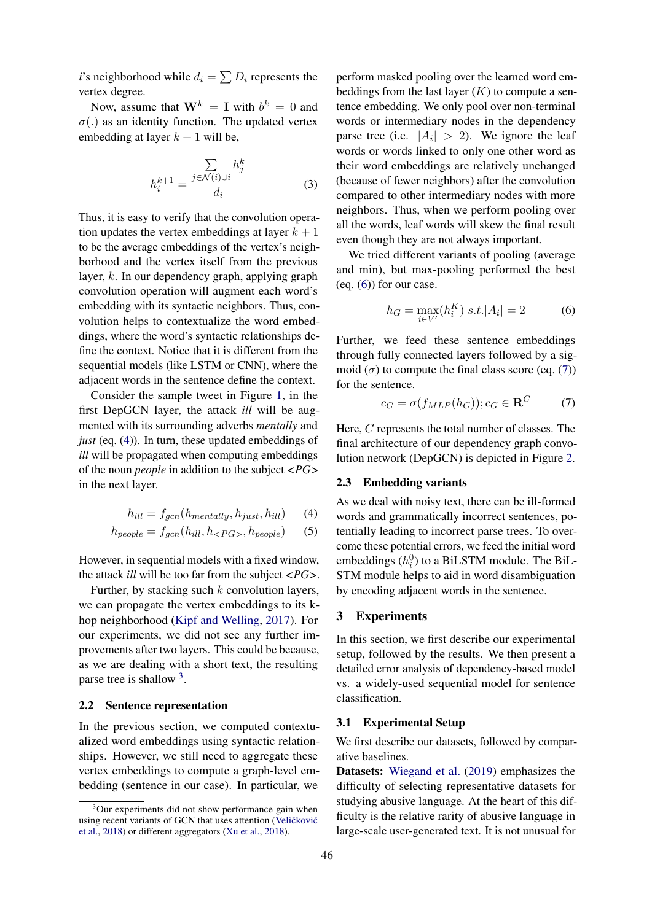*i*'s neighborhood while  $d_i = \sum D_i$  represents the vertex degree.

Now, assume that  $W^k = I$  with  $b^k = 0$  and  $\sigma(.)$  as an identity function. The updated vertex embedding at layer  $k + 1$  will be,

$$
h_i^{k+1} = \frac{\sum_{j \in \mathcal{N}(i) \cup i} h_j^k}{d_i} \tag{3}
$$

Thus, it is easy to verify that the convolution operation updates the vertex embeddings at layer  $k + 1$ to be the average embeddings of the vertex's neighborhood and the vertex itself from the previous layer, k. In our dependency graph, applying graph convolution operation will augment each word's embedding with its syntactic neighbors. Thus, convolution helps to contextualize the word embeddings, where the word's syntactic relationships define the context. Notice that it is different from the sequential models (like LSTM or CNN), where the adjacent words in the sentence define the context.

Consider the sample tweet in Figure [1,](#page-1-0) in the first DepGCN layer, the attack *ill* will be augmented with its surrounding adverbs *mentally* and *just* (eq. [\(4\)](#page-2-0)). In turn, these updated embeddings of *ill* will be propagated when computing embeddings of the noun *people* in addition to the subject *<PG>* in the next layer.

$$
h_{ill} = f_{gcn}(h_{mentally}, h_{just}, h_{ill}) \tag{4}
$$

$$
h_{people} = f_{gcn}(h_{ill}, h_{}, h_{people}) \qquad (5)
$$

However, in sequential models with a fixed window, the attack *ill* will be too far from the subject *<PG>*.

Further, by stacking such  $k$  convolution layers, we can propagate the vertex embeddings to its khop neighborhood [\(Kipf and Welling,](#page-8-7) [2017\)](#page-8-7). For our experiments, we did not see any further improvements after two layers. This could be because, as we are dealing with a short text, the resulting parse tree is shallow <sup>[3](#page-2-1)</sup>.

#### 2.2 Sentence representation

In the previous section, we computed contextualized word embeddings using syntactic relationships. However, we still need to aggregate these vertex embeddings to compute a graph-level embedding (sentence in our case). In particular, we

perform masked pooling over the learned word embeddings from the last layer  $(K)$  to compute a sentence embedding. We only pool over non-terminal words or intermediary nodes in the dependency parse tree (i.e.  $|A_i| > 2$ ). We ignore the leaf words or words linked to only one other word as their word embeddings are relatively unchanged (because of fewer neighbors) after the convolution compared to other intermediary nodes with more neighbors. Thus, when we perform pooling over all the words, leaf words will skew the final result even though they are not always important.

We tried different variants of pooling (average and min), but max-pooling performed the best (eq.  $(6)$ ) for our case.

<span id="page-2-2"></span>
$$
h_G = \max_{i \in V'} (h_i^K) \ s.t. |A_i| = 2 \tag{6}
$$

Further, we feed these sentence embeddings through fully connected layers followed by a sigmoid  $(\sigma)$  to compute the final class score (eq. [\(7\)](#page-2-3)) for the sentence.

<span id="page-2-3"></span>
$$
c_G = \sigma(f_{MLP}(h_G)); c_G \in \mathbf{R}^C \tag{7}
$$

Here, C represents the total number of classes. The final architecture of our dependency graph convolution network (DepGCN) is depicted in Figure [2.](#page-3-0)

# 2.3 Embedding variants

<span id="page-2-0"></span>As we deal with noisy text, there can be ill-formed words and grammatically incorrect sentences, potentially leading to incorrect parse trees. To overcome these potential errors, we feed the initial word embeddings  $(h_i^0)$  to a BiLSTM module. The BiL-STM module helps to aid in word disambiguation by encoding adjacent words in the sentence.

# 3 Experiments

In this section, we first describe our experimental setup, followed by the results. We then present a detailed error analysis of dependency-based model vs. a widely-used sequential model for sentence classification.

#### 3.1 Experimental Setup

We first describe our datasets, followed by comparative baselines.

Datasets: [Wiegand et al.](#page-9-6) [\(2019\)](#page-9-6) emphasizes the difficulty of selecting representative datasets for studying abusive language. At the heart of this difficulty is the relative rarity of abusive language in large-scale user-generated text. It is not unusual for

<span id="page-2-1"></span><sup>&</sup>lt;sup>3</sup>Our experiments did not show performance gain when using recent variants of GCN that uses attention (Veličković [et al.,](#page-9-4) [2018\)](#page-9-4) or different aggregators [\(Xu et al.,](#page-9-5) [2018\)](#page-9-5).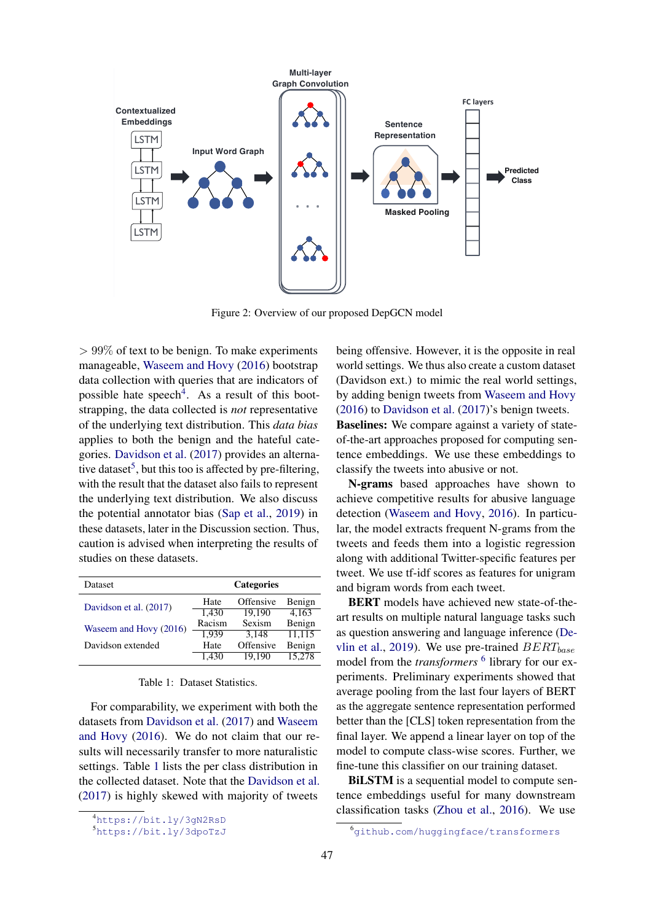<span id="page-3-0"></span>

Figure 2: Overview of our proposed DepGCN model

 $> 99\%$  of text to be benign. To make experiments manageable, [Waseem and Hovy](#page-9-0) [\(2016\)](#page-9-0) bootstrap data collection with queries that are indicators of possible hate speech<sup>[4](#page-3-1)</sup>. As a result of this bootstrapping, the data collected is *not* representative of the underlying text distribution. This *data bias* applies to both the benign and the hateful categories. [Davidson et al.](#page-8-1) [\(2017\)](#page-8-1) provides an alterna-tive dataset<sup>[5](#page-3-2)</sup>, but this too is affected by pre-filtering, with the result that the dataset also fails to represent the underlying text distribution. We also discuss the potential annotator bias [\(Sap et al.,](#page-9-7) [2019\)](#page-9-7) in these datasets, later in the Discussion section. Thus, caution is advised when interpreting the results of studies on these datasets.

<span id="page-3-3"></span>

| Dataset                | <b>Categories</b> |           |        |  |
|------------------------|-------------------|-----------|--------|--|
| Davidson et al. (2017) | Hate              | Offensive | Benign |  |
|                        | 1.430             | 19.190    | 4.163  |  |
| Waseem and Hovy (2016) | Racism            | Sexism    | Benign |  |
|                        | 1.939             | 3.148     | 11.115 |  |
| Davidson extended      | Hate              | Offensive | Benign |  |
|                        | 1.430             | 19.190    | 15.278 |  |

#### Table 1: Dataset Statistics.

For comparability, we experiment with both the datasets from [Davidson et al.](#page-8-1) [\(2017\)](#page-8-1) and [Waseem](#page-9-0) [and Hovy](#page-9-0) [\(2016\)](#page-9-0). We do not claim that our results will necessarily transfer to more naturalistic settings. Table [1](#page-3-3) lists the per class distribution in the collected dataset. Note that the [Davidson et al.](#page-8-1) [\(2017\)](#page-8-1) is highly skewed with majority of tweets

being offensive. However, it is the opposite in real world settings. We thus also create a custom dataset (Davidson ext.) to mimic the real world settings, by adding benign tweets from [Waseem and Hovy](#page-9-0) [\(2016\)](#page-9-0) to [Davidson et al.](#page-8-1) [\(2017\)](#page-8-1)'s benign tweets. Baselines: We compare against a variety of stateof-the-art approaches proposed for computing sentence embeddings. We use these embeddings to classify the tweets into abusive or not.

N-grams based approaches have shown to achieve competitive results for abusive language detection [\(Waseem and Hovy,](#page-9-0) [2016\)](#page-9-0). In particular, the model extracts frequent N-grams from the tweets and feeds them into a logistic regression along with additional Twitter-specific features per tweet. We use tf-idf scores as features for unigram and bigram words from each tweet.

BERT models have achieved new state-of-theart results on multiple natural language tasks such as question answering and language inference [\(De](#page-8-3)[vlin et al.,](#page-8-3) [2019\)](#page-8-3). We use pre-trained  $BERT_{base}$ model from the *transformers* <sup>[6](#page-3-4)</sup> library for our experiments. Preliminary experiments showed that average pooling from the last four layers of BERT as the aggregate sentence representation performed better than the [CLS] token representation from the final layer. We append a linear layer on top of the model to compute class-wise scores. Further, we fine-tune this classifier on our training dataset.

BiLSTM is a sequential model to compute sentence embeddings useful for many downstream classification tasks [\(Zhou et al.,](#page-9-8) [2016\)](#page-9-8). We use

<span id="page-3-1"></span><sup>4</sup><https://bit.ly/3gN2RsD>

<span id="page-3-2"></span><sup>5</sup><https://bit.ly/3dpoTzJ>

<span id="page-3-4"></span><sup>6</sup><github.com/huggingface/transformers>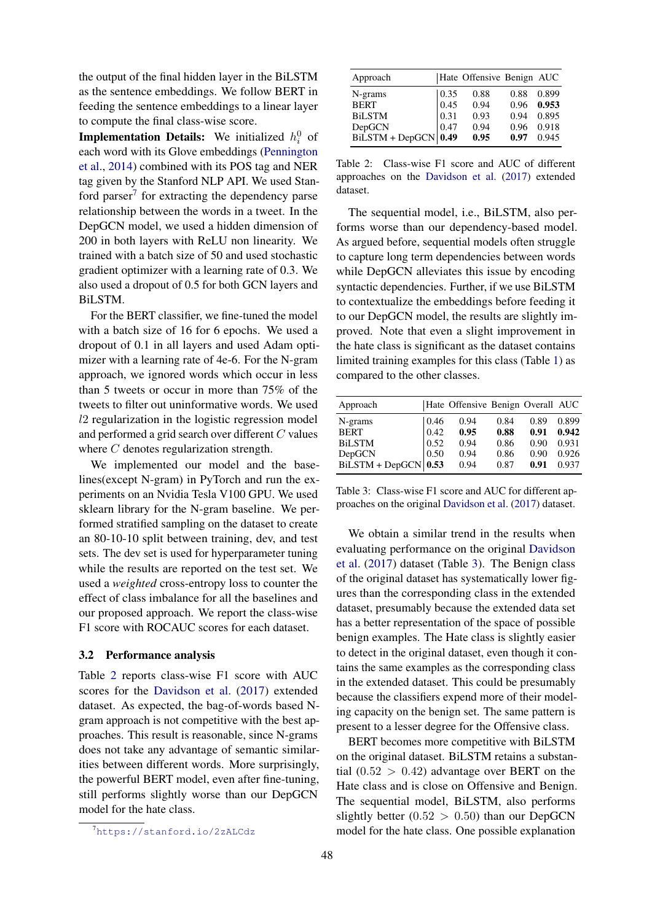the output of the final hidden layer in the BiLSTM as the sentence embeddings. We follow BERT in feeding the sentence embeddings to a linear layer to compute the final class-wise score.

**Implementation Details:** We initialized  $h_i^0$  of each word with its Glove embeddings [\(Pennington](#page-9-9) [et al.,](#page-9-9) [2014\)](#page-9-9) combined with its POS tag and NER tag given by the Stanford NLP API. We used Stan-ford parser<sup>[7](#page-4-0)</sup> for extracting the dependency parse relationship between the words in a tweet. In the DepGCN model, we used a hidden dimension of 200 in both layers with ReLU non linearity. We trained with a batch size of 50 and used stochastic gradient optimizer with a learning rate of 0.3. We also used a dropout of 0.5 for both GCN layers and BiLSTM.

For the BERT classifier, we fine-tuned the model with a batch size of 16 for 6 epochs. We used a dropout of 0.1 in all layers and used Adam optimizer with a learning rate of 4e-6. For the N-gram approach, we ignored words which occur in less than 5 tweets or occur in more than 75% of the tweets to filter out uninformative words. We used l2 regularization in the logistic regression model and performed a grid search over different C values where C denotes regularization strength.

We implemented our model and the baselines(except N-gram) in PyTorch and run the experiments on an Nvidia Tesla V100 GPU. We used sklearn library for the N-gram baseline. We performed stratified sampling on the dataset to create an 80-10-10 split between training, dev, and test sets. The dev set is used for hyperparameter tuning while the results are reported on the test set. We used a *weighted* cross-entropy loss to counter the effect of class imbalance for all the baselines and our proposed approach. We report the class-wise F1 score with ROCAUC scores for each dataset.

#### 3.2 Performance analysis

Table [2](#page-4-1) reports class-wise F1 score with AUC scores for the [Davidson et al.](#page-8-1) [\(2017\)](#page-8-1) extended dataset. As expected, the bag-of-words based Ngram approach is not competitive with the best approaches. This result is reasonable, since N-grams does not take any advantage of semantic similarities between different words. More surprisingly, the powerful BERT model, even after fine-tuning, still performs slightly worse than our DepGCN model for the hate class.

<span id="page-4-1"></span>

| Approach             |      | Hate Offensive Benign AUC |      |       |
|----------------------|------|---------------------------|------|-------|
| N-grams              | 0.35 | 0.88                      | 0.88 | 0.899 |
| <b>BERT</b>          | 0.45 | 0.94                      | 0.96 | 0.953 |
| <b>BiLSTM</b>        | 0.31 | 0.93                      | 0.94 | 0.895 |
| DepGCN               | 0.47 | 0.94                      | 0.96 | 0.918 |
| BiLSTM + DepGCN 0.49 |      | 0.95                      | 0.97 | 0.945 |

Table 2: Class-wise F1 score and AUC of different approaches on the [Davidson et al.](#page-8-1) [\(2017\)](#page-8-1) extended dataset.

The sequential model, i.e., BiLSTM, also performs worse than our dependency-based model. As argued before, sequential models often struggle to capture long term dependencies between words while DepGCN alleviates this issue by encoding syntactic dependencies. Further, if we use BiLSTM to contextualize the embeddings before feeding it to our DepGCN model, the results are slightly improved. Note that even a slight improvement in the hate class is significant as the dataset contains limited training examples for this class (Table [1\)](#page-3-3) as compared to the other classes.

<span id="page-4-2"></span>

| Approach                 |      | Hate Offensive Benign Overall AUC |      |      |       |
|--------------------------|------|-----------------------------------|------|------|-------|
| N-grams                  | 0.46 | 0.94                              | 0.84 | 0.89 | 0.899 |
| <b>BERT</b>              | 0.42 | 0.95                              | 0.88 | 0.91 | 0.942 |
| <b>BiLSTM</b>            | 0.52 | 0.94                              | 0.86 | 0.90 | 0.931 |
| DepGCN                   | 0.50 | 0.94                              | 0.86 | 0.90 | 0.926 |
| $BiLSTM + DepGCN   0.53$ |      | 0.94                              | 0.87 | 0.91 | 0.937 |

Table 3: Class-wise F1 score and AUC for different approaches on the original [Davidson et al.](#page-8-1) [\(2017\)](#page-8-1) dataset.

We obtain a similar trend in the results when evaluating performance on the original [Davidson](#page-8-1) [et al.](#page-8-1) [\(2017\)](#page-8-1) dataset (Table [3\)](#page-4-2). The Benign class of the original dataset has systematically lower figures than the corresponding class in the extended dataset, presumably because the extended data set has a better representation of the space of possible benign examples. The Hate class is slightly easier to detect in the original dataset, even though it contains the same examples as the corresponding class in the extended dataset. This could be presumably because the classifiers expend more of their modeling capacity on the benign set. The same pattern is present to a lesser degree for the Offensive class.

BERT becomes more competitive with BiLSTM on the original dataset. BiLSTM retains a substantial  $(0.52 > 0.42)$  advantage over BERT on the Hate class and is close on Offensive and Benign. The sequential model, BiLSTM, also performs slightly better  $(0.52 > 0.50)$  than our DepGCN model for the hate class. One possible explanation

<span id="page-4-0"></span><sup>7</sup><https://stanford.io/2zALCdz>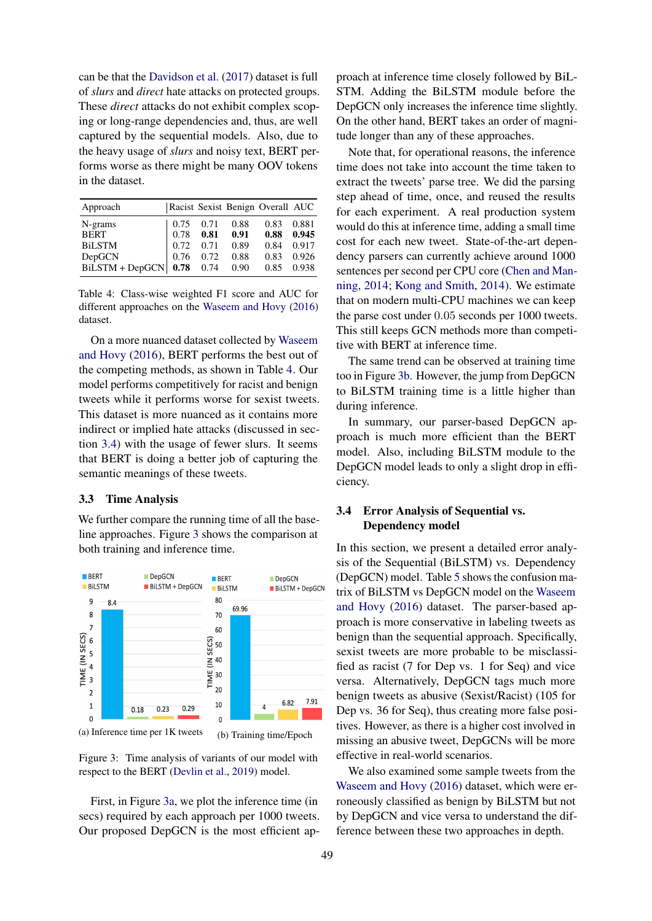can be that the [Davidson et al.](#page-8-1) [\(2017\)](#page-8-1) dataset is full of *slurs* and *direct* hate attacks on protected groups. These *direct* attacks do not exhibit complex scoping or long-range dependencies and, thus, are well captured by the sequential models. Also, due to the heavy usage of *slurs* and noisy text, BERT performs worse as there might be many OOV tokens in the dataset.

<span id="page-5-0"></span>

| Approach          |      |      |      | Racist Sexist Benign Overall AUC |       |
|-------------------|------|------|------|----------------------------------|-------|
| N-grams           | 0.75 | 0.71 | 0.88 | 0.83                             | 0.881 |
| <b>BERT</b>       | 0.78 | 0.81 | 0.91 | 0.88                             | 0.945 |
| <b>BiLSTM</b>     | 0.72 | 0.71 | 0.89 | 0.84                             | 0.917 |
| DepGCN            | 0.76 | 0.72 | 0.88 | 0.83                             | 0.926 |
| $BiLSTM + DepGCN$ | 0.78 | 0.74 | 0.90 | 0.85                             | 0.938 |

Table 4: Class-wise weighted F1 score and AUC for different approaches on the [Waseem and Hovy](#page-9-0) [\(2016\)](#page-9-0) dataset.

On a more nuanced dataset collected by [Waseem](#page-9-0) [and Hovy](#page-9-0) [\(2016\)](#page-9-0), BERT performs the best out of the competing methods, as shown in Table [4.](#page-5-0) Our model performs competitively for racist and benign tweets while it performs worse for sexist tweets. This dataset is more nuanced as it contains more indirect or implied hate attacks (discussed in section [3.4\)](#page-5-1) with the usage of fewer slurs. It seems that BERT is doing a better job of capturing the semantic meanings of these tweets.

# 3.3 Time Analysis

We further compare the running time of all the baseline approaches. Figure [3](#page-5-2) shows the comparison at both training and inference time.

<span id="page-5-2"></span>

Figure 3: Time analysis of variants of our model with respect to the BERT [\(Devlin et al.,](#page-8-3) [2019\)](#page-8-3) model.

First, in Figure [3a,](#page-5-2) we plot the inference time (in secs) required by each approach per 1000 tweets. Our proposed DepGCN is the most efficient approach at inference time closely followed by BiL-STM. Adding the BiLSTM module before the DepGCN only increases the inference time slightly. On the other hand, BERT takes an order of magnitude longer than any of these approaches.

Note that, for operational reasons, the inference time does not take into account the time taken to extract the tweets' parse tree. We did the parsing step ahead of time, once, and reused the results for each experiment. A real production system would do this at inference time, adding a small time cost for each new tweet. State-of-the-art dependency parsers can currently achieve around 1000 sentences per second per CPU core [\(Chen and Man](#page-8-8)[ning,](#page-8-8) [2014;](#page-8-8) [Kong and Smith,](#page-8-9) [2014\)](#page-8-9). We estimate that on modern multi-CPU machines we can keep the parse cost under 0.05 seconds per 1000 tweets. This still keeps GCN methods more than competitive with BERT at inference time.

The same trend can be observed at training time too in Figure [3b.](#page-5-2) However, the jump from DepGCN to BiLSTM training time is a little higher than during inference.

In summary, our parser-based DepGCN approach is much more efficient than the BERT model. Also, including BiLSTM module to the DepGCN model leads to only a slight drop in efficiency.

# <span id="page-5-1"></span>3.4 Error Analysis of Sequential vs. Dependency model

In this section, we present a detailed error analysis of the Sequential (BiLSTM) vs. Dependency (DepGCN) model. Table [5](#page-6-0) shows the confusion matrix of BiLSTM vs DepGCN model on the [Waseem](#page-9-0) [and Hovy](#page-9-0) [\(2016\)](#page-9-0) dataset. The parser-based approach is more conservative in labeling tweets as benign than the sequential approach. Specifically, sexist tweets are more probable to be misclassified as racist (7 for Dep vs. 1 for Seq) and vice versa. Alternatively, DepGCN tags much more benign tweets as abusive (Sexist/Racist) (105 for Dep vs. 36 for Seq), thus creating more false positives. However, as there is a higher cost involved in missing an abusive tweet, DepGCNs will be more effective in real-world scenarios.

We also examined some sample tweets from the [Waseem and Hovy](#page-9-0) [\(2016\)](#page-9-0) dataset, which were erroneously classified as benign by BiLSTM but not by DepGCN and vice versa to understand the difference between these two approaches in depth.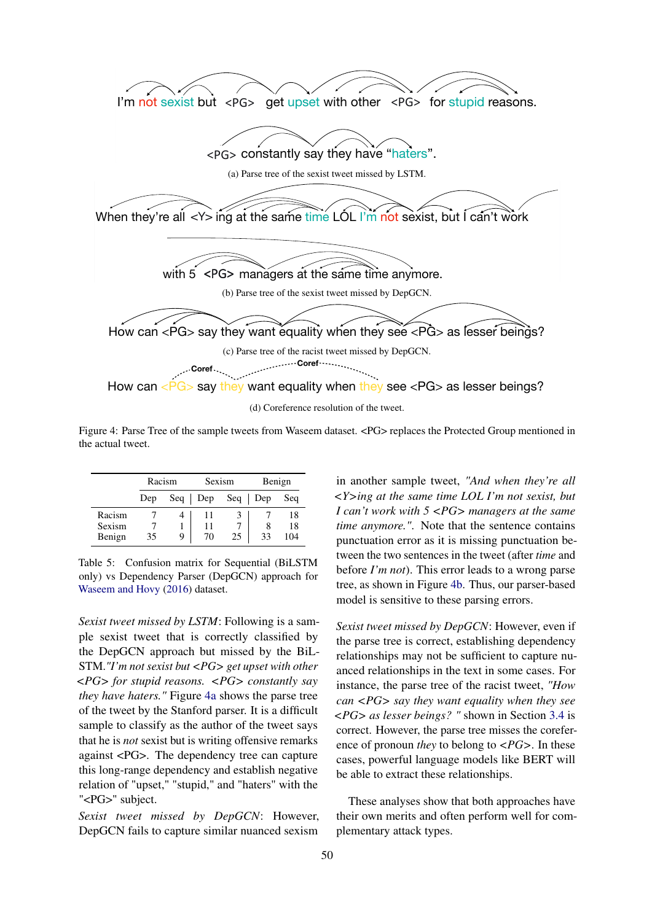<span id="page-6-1"></span>

(d) Coreference resolution of the tweet.

 $\mathcal{L}$  say the same same same same same see say the see see  $\mathcal{L}$  as  $\mathcal{L}$  as less exponent being  $\mathcal{L}$ Figure 4: Parse Tree of the sample tweets from Waseem dataset. <PG> replaces the Protected Group mentioned in the actual tweet.

<span id="page-6-0"></span>

|        | Racism |     | Sexism      |    | Benign    |     |
|--------|--------|-----|-------------|----|-----------|-----|
|        | Dep    | Seq | $\vert$ Dep |    | Seq   Dep | Seq |
| Racism |        |     |             |    |           | 18  |
| Sexism |        |     | 11          |    |           | 18  |
| Benign | 35     | 9   | 70          | 25 | 33        | 104 |

Table 5: Confusion matrix for Sequential (BiLSTM only) vs Dependency Parser (DepGCN) approach for [Waseem and Hovy](#page-9-0) [\(2016\)](#page-9-0) dataset.

*Sexist tweet missed by LSTM*: Following is a sample sexist tweet that is correctly classified by the DepGCN approach but missed by the BiL-STM.*"I'm not sexist but <PG> get upset with other <PG> for stupid reasons. <PG> constantly say they have haters."* Figure [4a](#page-6-1) shows the parse tree of the tweet by the Stanford parser. It is a difficult sample to classify as the author of the tweet says that he is *not* sexist but is writing offensive remarks against <PG>. The dependency tree can capture this long-range dependency and establish negative relation of "upset," "stupid," and "haters" with the "<PG>" subject.

*Sexist tweet missed by DepGCN*: However, DepGCN fails to capture similar nuanced sexism

in another sample tweet, *"And when they're all <Y>ing at the same time LOL I'm not sexist, but I can't work with 5 <PG> managers at the same time anymore."*. Note that the sentence contains punctuation error as it is missing punctuation between the two sentences in the tweet (after *time* and before *I'm not*). This error leads to a wrong parse tree, as shown in Figure [4b.](#page-6-1) Thus, our parser-based model is sensitive to these parsing errors.

*Sexist tweet missed by DepGCN*: However, even if the parse tree is correct, establishing dependency relationships may not be sufficient to capture nuanced relationships in the text in some cases. For instance, the parse tree of the racist tweet, *"How can <PG> say they want equality when they see <PG> as lesser beings? "* shown in Section [3.4](#page-6-1) is correct. However, the parse tree misses the coreference of pronoun *they* to belong to *<PG>*. In these cases, powerful language models like BERT will be able to extract these relationships.

These analyses show that both approaches have their own merits and often perform well for complementary attack types.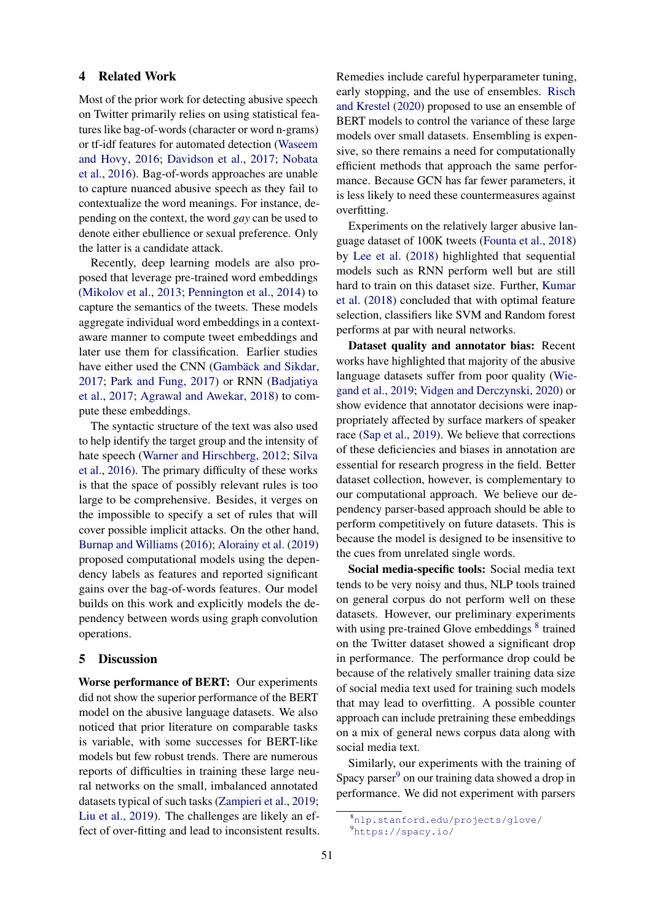# 4 Related Work

Most of the prior work for detecting abusive speech on Twitter primarily relies on using statistical features like bag-of-words (character or word n-grams) or tf-idf features for automated detection [\(Waseem](#page-9-0) [and Hovy,](#page-9-0) [2016;](#page-9-0) [Davidson et al.,](#page-8-1) [2017;](#page-8-1) [Nobata](#page-9-10) [et al.,](#page-9-10) [2016\)](#page-9-10). Bag-of-words approaches are unable to capture nuanced abusive speech as they fail to contextualize the word meanings. For instance, depending on the context, the word *gay* can be used to denote either ebullience or sexual preference. Only the latter is a candidate attack.

Recently, deep learning models are also proposed that leverage pre-trained word embeddings [\(Mikolov et al.,](#page-9-11) [2013;](#page-9-11) [Pennington et al.,](#page-9-9) [2014\)](#page-9-9) to capture the semantics of the tweets. These models aggregate individual word embeddings in a contextaware manner to compute tweet embeddings and later use them for classification. Earlier studies have either used the CNN [\(Gambäck and Sikdar,](#page-8-10) [2017;](#page-8-10) [Park and Fung,](#page-9-12) [2017\)](#page-9-12) or RNN [\(Badjatiya](#page-8-2) [et al.,](#page-8-2) [2017;](#page-8-2) [Agrawal and Awekar,](#page-8-11) [2018\)](#page-8-11) to compute these embeddings.

The syntactic structure of the text was also used to help identify the target group and the intensity of hate speech [\(Warner and Hirschberg,](#page-9-13) [2012;](#page-9-13) [Silva](#page-9-14) [et al.,](#page-9-14) [2016\)](#page-9-14). The primary difficulty of these works is that the space of possibly relevant rules is too large to be comprehensive. Besides, it verges on the impossible to specify a set of rules that will cover possible implicit attacks. On the other hand, [Burnap and Williams](#page-8-5) [\(2016\)](#page-8-5); [Alorainy et al.](#page-8-6) [\(2019\)](#page-8-6) proposed computational models using the dependency labels as features and reported significant gains over the bag-of-words features. Our model builds on this work and explicitly models the dependency between words using graph convolution operations.

# 5 Discussion

Worse performance of BERT: Our experiments did not show the superior performance of the BERT model on the abusive language datasets. We also noticed that prior literature on comparable tasks is variable, with some successes for BERT-like models but few robust trends. There are numerous reports of difficulties in training these large neural networks on the small, imbalanced annotated datasets typical of such tasks [\(Zampieri et al.,](#page-9-15) [2019;](#page-9-15) [Liu et al.,](#page-8-12) [2019\)](#page-8-12). The challenges are likely an effect of over-fitting and lead to inconsistent results.

Remedies include careful hyperparameter tuning, early stopping, and the use of ensembles. [Risch](#page-9-16) [and Krestel](#page-9-16) [\(2020\)](#page-9-16) proposed to use an ensemble of BERT models to control the variance of these large models over small datasets. Ensembling is expensive, so there remains a need for computationally efficient methods that approach the same performance. Because GCN has far fewer parameters, it is less likely to need these countermeasures against overfitting.

Experiments on the relatively larger abusive language dataset of 100K tweets [\(Founta et al.,](#page-8-13) [2018\)](#page-8-13) by [Lee et al.](#page-8-14) [\(2018\)](#page-8-14) highlighted that sequential models such as RNN perform well but are still hard to train on this dataset size. Further, [Kumar](#page-8-15) [et al.](#page-8-15) [\(2018\)](#page-8-15) concluded that with optimal feature selection, classifiers like SVM and Random forest performs at par with neural networks.

Dataset quality and annotator bias: Recent works have highlighted that majority of the abusive language datasets suffer from poor quality [\(Wie](#page-9-6)[gand et al.,](#page-9-6) [2019;](#page-9-6) [Vidgen and Derczynski,](#page-9-17) [2020\)](#page-9-17) or show evidence that annotator decisions were inappropriately affected by surface markers of speaker race [\(Sap et al.,](#page-9-7) [2019\)](#page-9-7). We believe that corrections of these deficiencies and biases in annotation are essential for research progress in the field. Better dataset collection, however, is complementary to our computational approach. We believe our dependency parser-based approach should be able to perform competitively on future datasets. This is because the model is designed to be insensitive to the cues from unrelated single words.

Social media-specific tools: Social media text tends to be very noisy and thus, NLP tools trained on general corpus do not perform well on these datasets. However, our preliminary experiments with using pre-trained Glove embeddings <sup>[8](#page-7-0)</sup> trained on the Twitter dataset showed a significant drop in performance. The performance drop could be because of the relatively smaller training data size of social media text used for training such models that may lead to overfitting. A possible counter approach can include pretraining these embeddings on a mix of general news corpus data along with social media text.

Similarly, our experiments with the training of Spacy parser $9$  on our training data showed a drop in performance. We did not experiment with parsers

<span id="page-7-1"></span><span id="page-7-0"></span><sup>8</sup><nlp.stanford.edu/projects/glove/> <sup>9</sup><https://spacy.io/>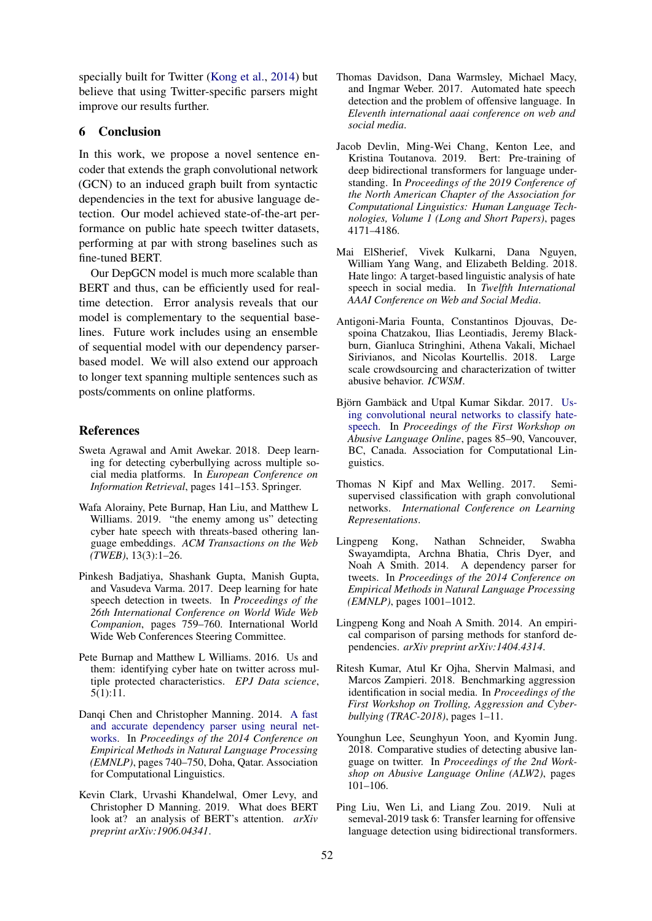specially built for Twitter [\(Kong et al.,](#page-8-16) [2014\)](#page-8-16) but believe that using Twitter-specific parsers might improve our results further.

# 6 Conclusion

In this work, we propose a novel sentence encoder that extends the graph convolutional network (GCN) to an induced graph built from syntactic dependencies in the text for abusive language detection. Our model achieved state-of-the-art performance on public hate speech twitter datasets, performing at par with strong baselines such as fine-tuned BERT.

Our DepGCN model is much more scalable than BERT and thus, can be efficiently used for realtime detection. Error analysis reveals that our model is complementary to the sequential baselines. Future work includes using an ensemble of sequential model with our dependency parserbased model. We will also extend our approach to longer text spanning multiple sentences such as posts/comments on online platforms.

### References

- <span id="page-8-11"></span>Sweta Agrawal and Amit Awekar. 2018. Deep learning for detecting cyberbullying across multiple social media platforms. In *European Conference on Information Retrieval*, pages 141–153. Springer.
- <span id="page-8-6"></span>Wafa Alorainy, Pete Burnap, Han Liu, and Matthew L Williams. 2019. "the enemy among us" detecting cyber hate speech with threats-based othering language embeddings. *ACM Transactions on the Web (TWEB)*, 13(3):1–26.
- <span id="page-8-2"></span>Pinkesh Badjatiya, Shashank Gupta, Manish Gupta, and Vasudeva Varma. 2017. Deep learning for hate speech detection in tweets. In *Proceedings of the 26th International Conference on World Wide Web Companion*, pages 759–760. International World Wide Web Conferences Steering Committee.
- <span id="page-8-5"></span>Pete Burnap and Matthew L Williams. 2016. Us and them: identifying cyber hate on twitter across multiple protected characteristics. *EPJ Data science*, 5(1):11.
- <span id="page-8-8"></span>Danqi Chen and Christopher Manning. 2014. [A fast](https://doi.org/10.3115/v1/D14-1082) [and accurate dependency parser using neural net](https://doi.org/10.3115/v1/D14-1082)[works.](https://doi.org/10.3115/v1/D14-1082) In *Proceedings of the 2014 Conference on Empirical Methods in Natural Language Processing (EMNLP)*, pages 740–750, Doha, Qatar. Association for Computational Linguistics.
- <span id="page-8-4"></span>Kevin Clark, Urvashi Khandelwal, Omer Levy, and Christopher D Manning. 2019. What does BERT look at? an analysis of BERT's attention. *arXiv preprint arXiv:1906.04341*.
- <span id="page-8-1"></span>Thomas Davidson, Dana Warmsley, Michael Macy, and Ingmar Weber. 2017. Automated hate speech detection and the problem of offensive language. In *Eleventh international aaai conference on web and social media*.
- <span id="page-8-3"></span>Jacob Devlin, Ming-Wei Chang, Kenton Lee, and Kristina Toutanova. 2019. Bert: Pre-training of deep bidirectional transformers for language understanding. In *Proceedings of the 2019 Conference of the North American Chapter of the Association for Computational Linguistics: Human Language Technologies, Volume 1 (Long and Short Papers)*, pages 4171–4186.
- <span id="page-8-0"></span>Mai ElSherief, Vivek Kulkarni, Dana Nguyen, William Yang Wang, and Elizabeth Belding. 2018. Hate lingo: A target-based linguistic analysis of hate speech in social media. In *Twelfth International AAAI Conference on Web and Social Media*.
- <span id="page-8-13"></span>Antigoni-Maria Founta, Constantinos Djouvas, Despoina Chatzakou, Ilias Leontiadis, Jeremy Blackburn, Gianluca Stringhini, Athena Vakali, Michael Sirivianos, and Nicolas Kourtellis. 2018. Large scale crowdsourcing and characterization of twitter abusive behavior. *ICWSM*.
- <span id="page-8-10"></span>Björn Gambäck and Utpal Kumar Sikdar. 2017. [Us](https://doi.org/10.18653/v1/W17-3013)[ing convolutional neural networks to classify hate](https://doi.org/10.18653/v1/W17-3013)[speech.](https://doi.org/10.18653/v1/W17-3013) In *Proceedings of the First Workshop on Abusive Language Online*, pages 85–90, Vancouver, BC, Canada. Association for Computational Linguistics.
- <span id="page-8-7"></span>Thomas N Kipf and Max Welling. 2017. Semisupervised classification with graph convolutional networks. *International Conference on Learning Representations*.
- <span id="page-8-16"></span>Lingpeng Kong, Nathan Schneider, Swabha Swayamdipta, Archna Bhatia, Chris Dyer, and Noah A Smith. 2014. A dependency parser for tweets. In *Proceedings of the 2014 Conference on Empirical Methods in Natural Language Processing (EMNLP)*, pages 1001–1012.
- <span id="page-8-9"></span>Lingpeng Kong and Noah A Smith. 2014. An empirical comparison of parsing methods for stanford dependencies. *arXiv preprint arXiv:1404.4314*.
- <span id="page-8-15"></span>Ritesh Kumar, Atul Kr Ojha, Shervin Malmasi, and Marcos Zampieri. 2018. Benchmarking aggression identification in social media. In *Proceedings of the First Workshop on Trolling, Aggression and Cyberbullying (TRAC-2018)*, pages 1–11.
- <span id="page-8-14"></span>Younghun Lee, Seunghyun Yoon, and Kyomin Jung. 2018. Comparative studies of detecting abusive language on twitter. In *Proceedings of the 2nd Workshop on Abusive Language Online (ALW2)*, pages 101–106.
- <span id="page-8-12"></span>Ping Liu, Wen Li, and Liang Zou. 2019. Nuli at semeval-2019 task 6: Transfer learning for offensive language detection using bidirectional transformers.